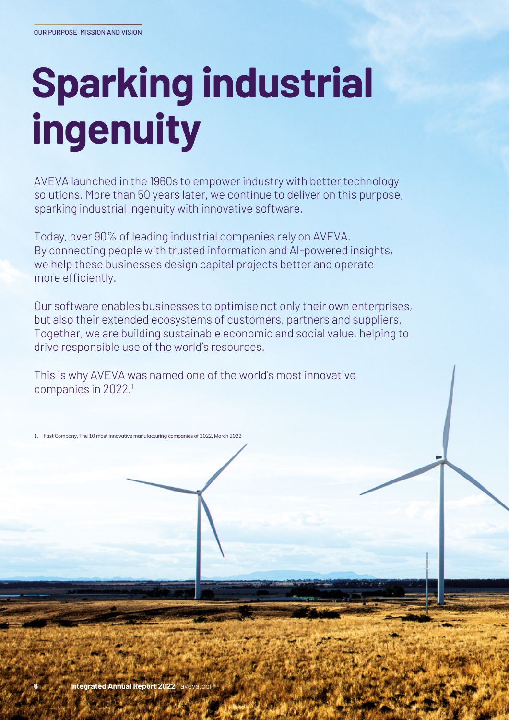## **Sparking industrial ingenuity**

AVEVA launched in the 1960s to empower industry with better technology solutions. More than 50 years later, we continue to deliver on this purpose, sparking industrial ingenuity with innovative software.

Today, over 90% of leading industrial companies rely on AVEVA. By connecting people with trusted information and AI-powered insights, we help these businesses design capital projects better and operate more efficiently.

Our software enables businesses to optimise not only their own enterprises, but also their extended ecosystems of customers, partners and suppliers. Together, we are building sustainable economic and social value, helping to drive responsible use of the world's resources.

This is why AVEVA was named one of the world's most innovative companies in 2022.<sup>1</sup>

1. Fast Company, The 10 most innovative manufacturing companies of 2022, March 2022